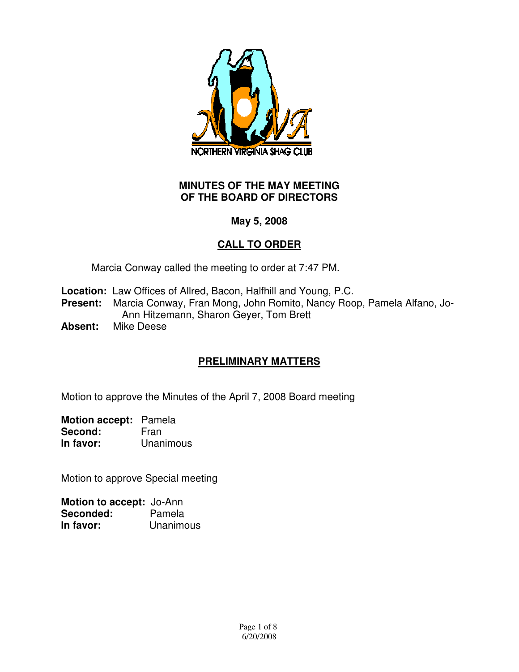

### **MINUTES OF THE MAY MEETING OF THE BOARD OF DIRECTORS**

# **May 5, 2008**

# **CALL TO ORDER**

Marcia Conway called the meeting to order at 7:47 PM.

- **Location:** Law Offices of Allred, Bacon, Halfhill and Young, P.C.
- **Present:** Marcia Conway, Fran Mong, John Romito, Nancy Roop, Pamela Alfano, Jo-Ann Hitzemann, Sharon Geyer, Tom Brett
- **Absent:** Mike Deese

# **PRELIMINARY MATTERS**

Motion to approve the Minutes of the April 7, 2008 Board meeting

**Motion accept:** Pamela Second: Fran **In favor:** Unanimous

Motion to approve Special meeting

| Motion to accept: Jo-Ann |           |
|--------------------------|-----------|
| Seconded:                | Pamela    |
| In favor:                | Unanimous |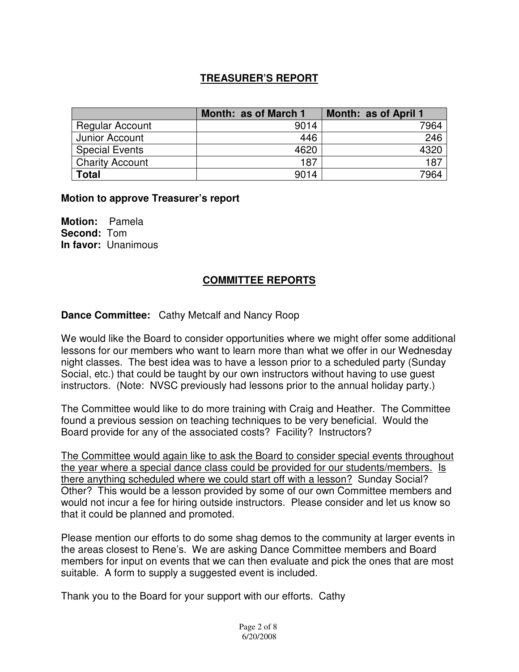## **TREASURER'S REPORT**

|                        | Month: as of March 1 | Month: as of April 1 |
|------------------------|----------------------|----------------------|
| <b>Regular Account</b> | 9014                 | 7964                 |
| Junior Account         | 446                  | 246                  |
| <b>Special Events</b>  | 4620                 | 432 <sup>r</sup>     |
| <b>Charity Account</b> | 187                  | 187                  |
| <b>Total</b>           | 9014                 | 7964                 |

#### **Motion to approve Treasurer's report**

**Motion:** Pamela **Second:** Tom **In favor:** Unanimous

#### **COMMITTEE REPORTS**

#### **Dance Committee:** Cathy Metcalf and Nancy Roop

We would like the Board to consider opportunities where we might offer some additional lessons for our members who want to learn more than what we offer in our Wednesday night classes. The best idea was to have a lesson prior to a scheduled party (Sunday Social, etc.) that could be taught by our own instructors without having to use guest instructors. (Note: NVSC previously had lessons prior to the annual holiday party.)

The Committee would like to do more training with Craig and Heather. The Committee found a previous session on teaching techniques to be very beneficial. Would the Board provide for any of the associated costs? Facility? Instructors?

The Committee would again like to ask the Board to consider special events throughout the year where a special dance class could be provided for our students/members. Is there anything scheduled where we could start off with a lesson? Sunday Social? Other? This would be a lesson provided by some of our own Committee members and would not incur a fee for hiring outside instructors. Please consider and let us know so that it could be planned and promoted.

Please mention our efforts to do some shag demos to the community at larger events in the areas closest to Rene's. We are asking Dance Committee members and Board members for input on events that we can then evaluate and pick the ones that are most suitable. A form to supply a suggested event is included.

Thank you to the Board for your support with our efforts. Cathy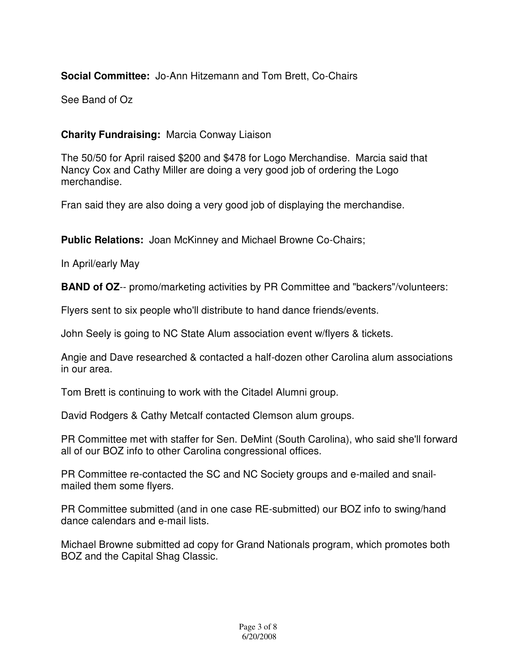# **Social Committee:** Jo-Ann Hitzemann and Tom Brett, Co-Chairs

See Band of Oz

# **Charity Fundraising:** Marcia Conway Liaison

The 50/50 for April raised \$200 and \$478 for Logo Merchandise. Marcia said that Nancy Cox and Cathy Miller are doing a very good job of ordering the Logo merchandise.

Fran said they are also doing a very good job of displaying the merchandise.

**Public Relations:** Joan McKinney and Michael Browne Co-Chairs;

In April/early May

**BAND of OZ**-- promo/marketing activities by PR Committee and "backers"/volunteers:

Flyers sent to six people who'll distribute to hand dance friends/events.

John Seely is going to NC State Alum association event w/flyers & tickets.

Angie and Dave researched & contacted a half-dozen other Carolina alum associations in our area.

Tom Brett is continuing to work with the Citadel Alumni group.

David Rodgers & Cathy Metcalf contacted Clemson alum groups.

PR Committee met with staffer for Sen. DeMint (South Carolina), who said she'll forward all of our BOZ info to other Carolina congressional offices.

PR Committee re-contacted the SC and NC Society groups and e-mailed and snailmailed them some flyers.

PR Committee submitted (and in one case RE-submitted) our BOZ info to swing/hand dance calendars and e-mail lists.

Michael Browne submitted ad copy for Grand Nationals program, which promotes both BOZ and the Capital Shag Classic.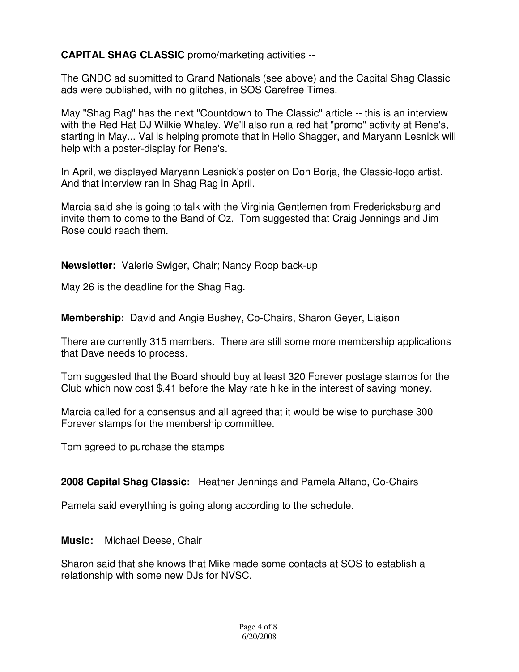**CAPITAL SHAG CLASSIC** promo/marketing activities --

The GNDC ad submitted to Grand Nationals (see above) and the Capital Shag Classic ads were published, with no glitches, in SOS Carefree Times.

May "Shag Rag" has the next "Countdown to The Classic" article -- this is an interview with the Red Hat DJ Wilkie Whaley. We'll also run a red hat "promo" activity at Rene's, starting in May... Val is helping promote that in Hello Shagger, and Maryann Lesnick will help with a poster-display for Rene's.

In April, we displayed Maryann Lesnick's poster on Don Borja, the Classic-logo artist. And that interview ran in Shag Rag in April.

Marcia said she is going to talk with the Virginia Gentlemen from Fredericksburg and invite them to come to the Band of Oz. Tom suggested that Craig Jennings and Jim Rose could reach them.

**Newsletter:** Valerie Swiger, Chair; Nancy Roop back-up

May 26 is the deadline for the Shag Rag.

**Membership:** David and Angie Bushey, Co-Chairs, Sharon Geyer, Liaison

There are currently 315 members. There are still some more membership applications that Dave needs to process.

Tom suggested that the Board should buy at least 320 Forever postage stamps for the Club which now cost \$.41 before the May rate hike in the interest of saving money.

Marcia called for a consensus and all agreed that it would be wise to purchase 300 Forever stamps for the membership committee.

Tom agreed to purchase the stamps

# **2008 Capital Shag Classic:** Heather Jennings and Pamela Alfano, Co-Chairs

Pamela said everything is going along according to the schedule.

**Music:** Michael Deese, Chair

Sharon said that she knows that Mike made some contacts at SOS to establish a relationship with some new DJs for NVSC.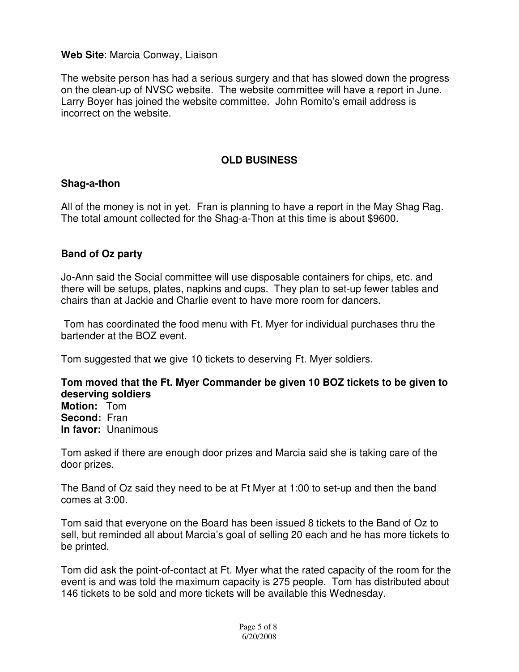### **Web Site**: Marcia Conway, Liaison

The website person has had a serious surgery and that has slowed down the progress on the clean-up of NVSC website. The website committee will have a report in June. Larry Boyer has joined the website committee. John Romito's email address is incorrect on the website.

## **OLD BUSINESS**

### **Shag-a-thon**

All of the money is not in yet. Fran is planning to have a report in the May Shag Rag. The total amount collected for the Shag-a-Thon at this time is about \$9600.

### **Band of Oz party**

Jo-Ann said the Social committee will use disposable containers for chips, etc. and there will be setups, plates, napkins and cups. They plan to set-up fewer tables and chairs than at Jackie and Charlie event to have more room for dancers.

 Tom has coordinated the food menu with Ft. Myer for individual purchases thru the bartender at the BOZ event.

Tom suggested that we give 10 tickets to deserving Ft. Myer soldiers.

#### **Tom moved that the Ft. Myer Commander be given 10 BOZ tickets to be given to deserving soldiers**

**Motion:** Tom **Second:** Fran **In favor:** Unanimous

Tom asked if there are enough door prizes and Marcia said she is taking care of the door prizes.

The Band of Oz said they need to be at Ft Myer at 1:00 to set-up and then the band comes at 3:00.

Tom said that everyone on the Board has been issued 8 tickets to the Band of Oz to sell, but reminded all about Marcia's goal of selling 20 each and he has more tickets to be printed.

Tom did ask the point-of-contact at Ft. Myer what the rated capacity of the room for the event is and was told the maximum capacity is 275 people. Tom has distributed about 146 tickets to be sold and more tickets will be available this Wednesday.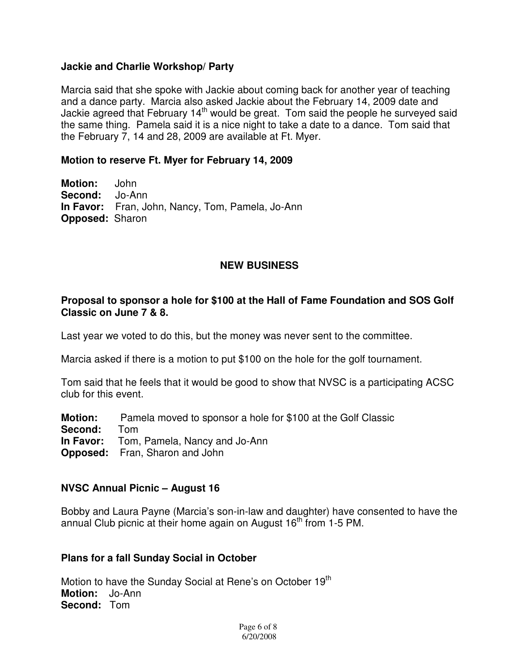#### **Jackie and Charlie Workshop/ Party**

Marcia said that she spoke with Jackie about coming back for another year of teaching and a dance party. Marcia also asked Jackie about the February 14, 2009 date and Jackie agreed that February 14<sup>th</sup> would be great. Tom said the people he surveyed said the same thing. Pamela said it is a nice night to take a date to a dance. Tom said that the February 7, 14 and 28, 2009 are available at Ft. Myer.

#### **Motion to reserve Ft. Myer for February 14, 2009**

**Motion:** John **Second:** Jo-Ann **In Favor:** Fran, John, Nancy, Tom, Pamela, Jo-Ann **Opposed:** Sharon

### **NEW BUSINESS**

#### **Proposal to sponsor a hole for \$100 at the Hall of Fame Foundation and SOS Golf Classic on June 7 & 8.**

Last year we voted to do this, but the money was never sent to the committee.

Marcia asked if there is a motion to put \$100 on the hole for the golf tournament.

Tom said that he feels that it would be good to show that NVSC is a participating ACSC club for this event.

- **Motion:** Pamela moved to sponsor a hole for \$100 at the Golf Classic
- **Second:** Tom
- **In Favor:** Tom, Pamela, Nancy and Jo-Ann
- **Opposed:** Fran, Sharon and John

#### **NVSC Annual Picnic – August 16**

Bobby and Laura Payne (Marcia's son-in-law and daughter) have consented to have the annual Club picnic at their home again on August  $16<sup>th</sup>$  from 1-5 PM.

#### **Plans for a fall Sunday Social in October**

Motion to have the Sunday Social at Rene's on October 19<sup>th</sup> **Motion:** Jo-Ann **Second:** Tom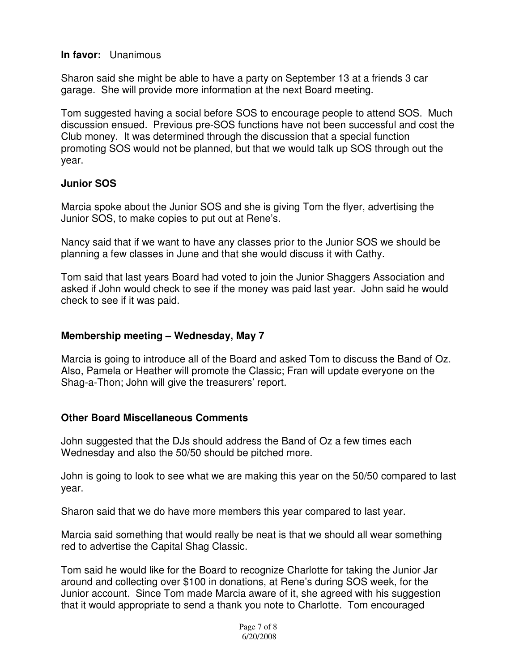#### **In favor:** Unanimous

Sharon said she might be able to have a party on September 13 at a friends 3 car garage. She will provide more information at the next Board meeting.

Tom suggested having a social before SOS to encourage people to attend SOS. Much discussion ensued. Previous pre-SOS functions have not been successful and cost the Club money. It was determined through the discussion that a special function promoting SOS would not be planned, but that we would talk up SOS through out the year.

## **Junior SOS**

Marcia spoke about the Junior SOS and she is giving Tom the flyer, advertising the Junior SOS, to make copies to put out at Rene's.

Nancy said that if we want to have any classes prior to the Junior SOS we should be planning a few classes in June and that she would discuss it with Cathy.

Tom said that last years Board had voted to join the Junior Shaggers Association and asked if John would check to see if the money was paid last year. John said he would check to see if it was paid.

#### **Membership meeting – Wednesday, May 7**

Marcia is going to introduce all of the Board and asked Tom to discuss the Band of Oz. Also, Pamela or Heather will promote the Classic; Fran will update everyone on the Shag-a-Thon; John will give the treasurers' report.

## **Other Board Miscellaneous Comments**

John suggested that the DJs should address the Band of Oz a few times each Wednesday and also the 50/50 should be pitched more.

John is going to look to see what we are making this year on the 50/50 compared to last year.

Sharon said that we do have more members this year compared to last year.

Marcia said something that would really be neat is that we should all wear something red to advertise the Capital Shag Classic.

Tom said he would like for the Board to recognize Charlotte for taking the Junior Jar around and collecting over \$100 in donations, at Rene's during SOS week, for the Junior account. Since Tom made Marcia aware of it, she agreed with his suggestion that it would appropriate to send a thank you note to Charlotte. Tom encouraged